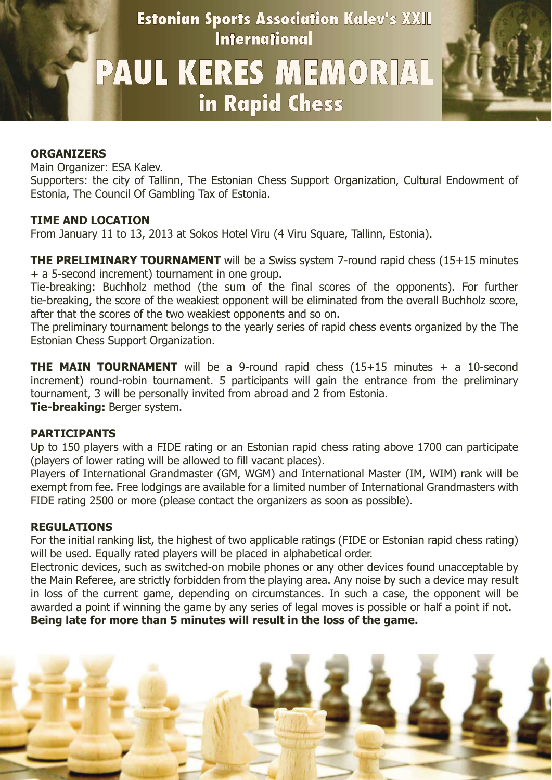**Estonian Sports Association Kalev's XXII International** 

# PAUL KERES MEMORIAL in Rapid Chess



#### **ORGANIZERS**

Main Organizer: ESA Kalev.

Supporters: the city of Tallinn, The Estonian Chess Support Organization, Cultural Endowment of Estonia, The Council Of Gambling Tax of Estonia.

#### **TIME AND LOCATION**

From January 11 to 13, 2013 at Sokos Hotel Viru (4 Viru Square, Tallinn, Estonia).

**THE PRELIMINARY TOURNAMENT** will be a Swiss system 7-round rapid chess (15+15 minutes + a 5-second increment) tournament in one group.

Tie-breaking: Buchholz method (the sum of the final scores of the opponents). For further tie-breaking, the score of the weakiest opponent will be eliminated from the overall Buchholz score, after that the scores of the two weakiest opponents and so on.

The preliminary tournament belongs to the yearly series of rapid chess events organized by the The Estonian Chess Support Organization.

**THE MAIN TOURNAMENT** will be a 9-round rapid chess (15+15 minutes + a 10-second increment) round-robin tournament. 5 participants will gain the entrance from the preliminary tournament, 3 will be personally invited from abroad and 2 from Estonia. **Tie-breaking:** Berger system.

#### **PARTICIPANTS**

Up to 150 players with a FIDE rating or an Estonian rapid chess rating above 1700 can participate (players of lower rating will be allowed to fill vacant places).

Players of International Grandmaster (GM, WGM) and International Master (IM, WIM) rank will be exempt from fee. Free lodgings are available for a limited number of International Grandmasters with FIDE rating 2500 or more (please contact the organizers as soon as possible).

#### **REGULATIONS**

For the initial ranking list, the highest of two applicable ratings (FIDE or Estonian rapid chess rating) will be used. Equally rated players will be placed in alphabetical order.

Electronic devices, such as switched-on mobile phones or any other devices found unacceptable by the Main Referee, are strictly forbidden from the playing area. Any noise by such a device may result in loss of the current game, depending on circumstances. In such a case, the opponent will be awarded a point if winning the game by any series of legal moves is possible or half a point if not. **Being late for more than 5 minutes will result in the loss of the game.**

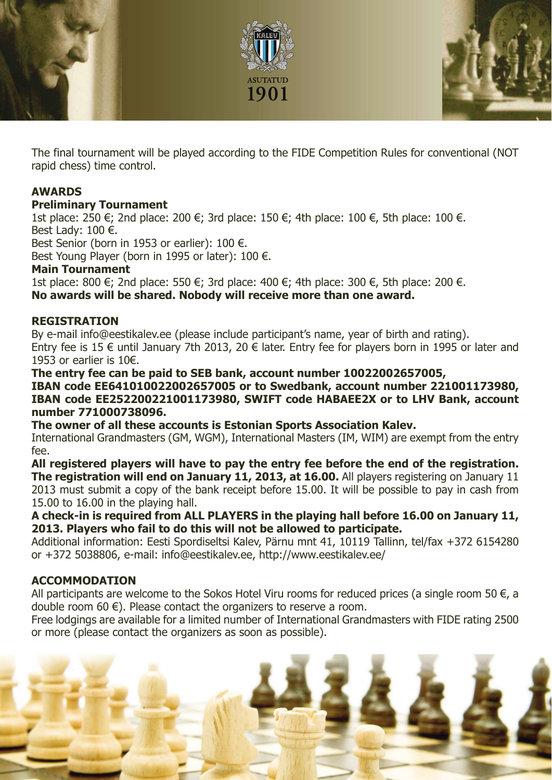

The final tournament will be played according to the FIDE Competition Rules for conventional (NOT rapid chess) time control.

# **AWARDS**

# **Preliminary Tournament**

1st place: 250 €; 2nd place: 200 €; 3rd place: 150 €; 4th place: 100 €, 5th place: 100 €. Best Lady:  $100 \notin$ .

Best Senior (born in 1953 or earlier): 100 €.

Best Young Player (born in 1995 or later): 100  $\epsilon$ .

#### **Main Tournament**

1st place: 800 €; 2nd place: 550 €; 3rd place: 400 €; 4th place: 300 €, 5th place: 200 €. **No awards will be shared. Nobody will receive more than one award.**

## **REGISTRATION**

By e-mail info@eestikalev.ee (please include participant's name, year of birth and rating). Entry fee is 15  $\epsilon$  until January 7th 2013, 20  $\epsilon$  later. Entry fee for players born in 1995 or later and 1953 or earlier is 10€.

**The entry fee can be paid to SEB bank, account number 10022002657005,**

## **IBAN code EE641010022002657005 or to Swedbank, account number 221001173980, IBAN code EE252200221001173980, SWIFT code HABAEE2X or to LHV Bank, account number 771000738096.**

**The owner of all these accounts is Estonian Sports Association Kalev.**

International Grandmasters (GM, WGM), International Masters (IM, WIM) are exempt from the entry fee.

**All registered players will have to pay the entry fee before the end of the registration. The registration will end on January 11, 2013, at 16.00.** All players registering on January 11 2013 must submit a copy of the bank receipt before 15.00. It will be possible to pay in cash from 15.00 to 16.00 in the playing hall.

**A check-in is required from ALL PLAYERS in the playing hall before 16.00 on January 11, 2013. Players who fail to do this will not be allowed to participate.**

Additional information: Eesti Spordiseltsi Kalev, Pärnu mnt 41, 10119 Tallinn, tel/fax +372 6154280 or +372 5038806, e-mail: info@eestikalev.ee, http://www.eestikalev.ee/

# **ACCOMMODATION**

All participants are welcome to the Sokos Hotel Viru rooms for reduced prices (a single room 50  $\epsilon$ , a double room 60 $\epsilon$ ). Please contact the organizers to reserve a room.

Free lodgings are available for a limited number of International Grandmasters with FIDE rating 2500 or more (please contact the organizers as soon as possible).